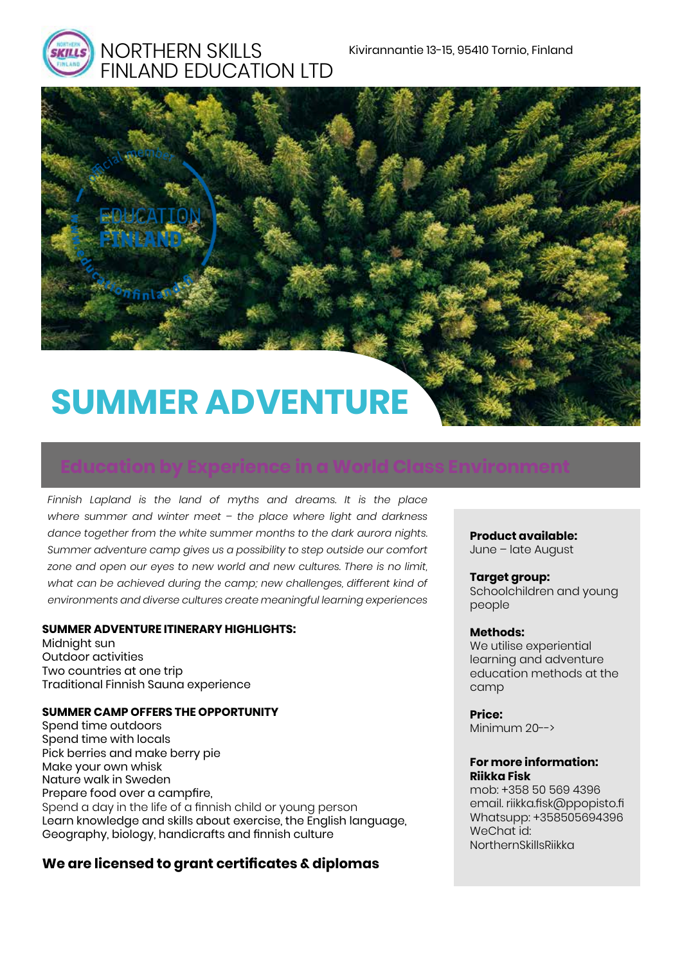



*Finnish Lapland is the land of myths and dreams. It is the place where summer and winter meet – the place where light and darkness dance together from the white summer months to the dark aurora nights. Summer adventure camp gives us a possibility to step outside our comfort zone and open our eyes to new world and new cultures. There is no limit,*  what can be achieved during the camp; new challenges, different kind of *environments and diverse cultures create meaningful learning experiences* 

# **SUMMER ADVENTURE ITINERARY HIGHLIGHTS:**

Midnight sun Outdoor activities Two countries at one trip Traditional Finnish Sauna experience

# **SUMMER CAMP OFFERS THE OPPORTUNITY**

Spend time outdoors Spend time with locals Pick berries and make berry pie Make your own whisk Nature walk in Sweden Prepare food over a campfire, Spend a day in the life of a finnish child or young person Learn knowledge and skills about exercise, the English language, Geography, biology, handicrafts and finnish culture

# **We are licensed to grant certificates & diplomas**

#### **Product available:**

June – late August

#### **Target group:**

Schoolchildren and young people

#### **Methods:**

We utilise experiential learning and adventure education methods at the camp

**Price:**  $Minim<sub>l</sub> m 20--$ 

### **For more information: Riikka Fisk**

mob: +358 50 569 4396 email. riikka.fisk@ppopisto.fi Whatsupp: +358505694396 WeChat id: NorthernSkillsRiikka